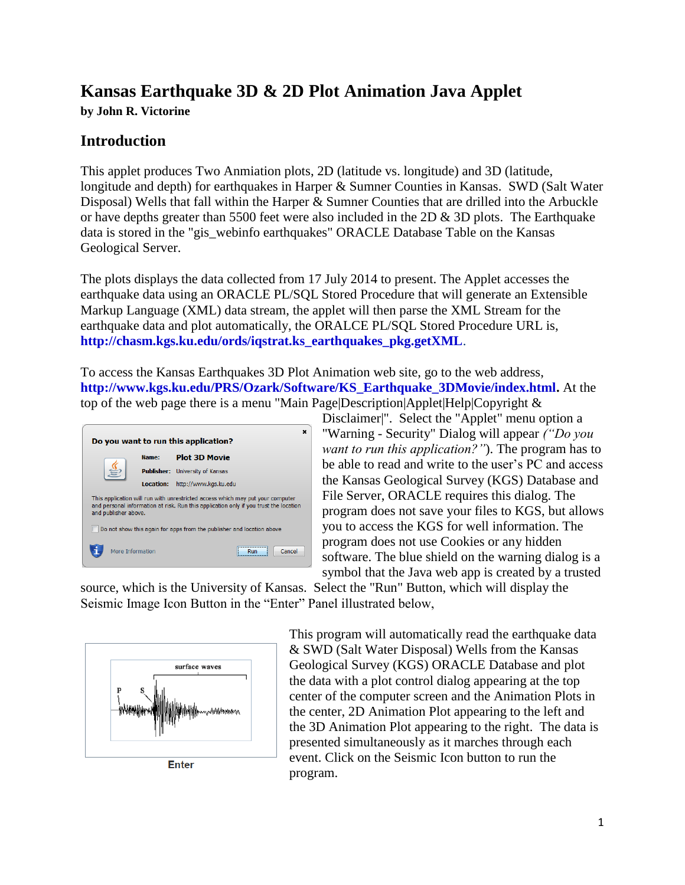## **Kansas Earthquake 3D & 2D Plot Animation Java Applet**

**by John R. Victorine**

## **Introduction**

This applet produces Two Anmiation plots, 2D (latitude vs. longitude) and 3D (latitude, longitude and depth) for earthquakes in Harper & Sumner Counties in Kansas. SWD (Salt Water Disposal) Wells that fall within the Harper & Sumner Counties that are drilled into the Arbuckle or have depths greater than 5500 feet were also included in the 2D  $\&$  3D plots. The Earthquake data is stored in the "gis\_webinfo earthquakes" ORACLE Database Table on the Kansas Geological Server.

The plots displays the data collected from 17 July 2014 to present. The Applet accesses the earthquake data using an ORACLE PL/SQL Stored Procedure that will generate an Extensible Markup Language (XML) data stream, the applet will then parse the XML Stream for the earthquake data and plot automatically, the ORALCE PL/SQL Stored Procedure URL is, **[http://chasm.kgs.ku.edu/ords/iqstrat.ks\\_earthquakes\\_pkg.getXML](http://chasm.kgs.ku.edu/ords/iqstrat.ks_earthquakes_pkg.getXML)**.

To access the Kansas Earthquakes 3D Plot Animation web site, go to the web address, **[http://www.kgs.ku.edu/PRS/Ozark/Software/KS\\_Earthquake\\_3DMovie/index.html.](http://www.kgs.ku.edu/PRS/Ozark/Software/KS_Earthquake_3DMovie/index.html)** At the top of the web page there is a menu "Main Page|Description|Applet|Help|Copyright  $\&$ 



Disclaimer|". Select the "Applet" menu option a "Warning - Security" Dialog will appear *("Do you want to run this application?"*). The program has to be able to read and write to the user's PC and access the Kansas Geological Survey (KGS) Database and File Server, ORACLE requires this dialog. The program does not save your files to KGS, but allows you to access the KGS for well information. The program does not use Cookies or any hidden software. The blue shield on the warning dialog is a symbol that the Java web app is created by a trusted

source, which is the University of Kansas. Select the "Run" Button, which will display the Seismic Image Icon Button in the "Enter" Panel illustrated below,



**Enter** 

This program will automatically read the earthquake data & SWD (Salt Water Disposal) Wells from the Kansas Geological Survey (KGS) ORACLE Database and plot the data with a plot control dialog appearing at the top center of the computer screen and the Animation Plots in the center, 2D Animation Plot appearing to the left and the 3D Animation Plot appearing to the right. The data is presented simultaneously as it marches through each event. Click on the Seismic Icon button to run the program.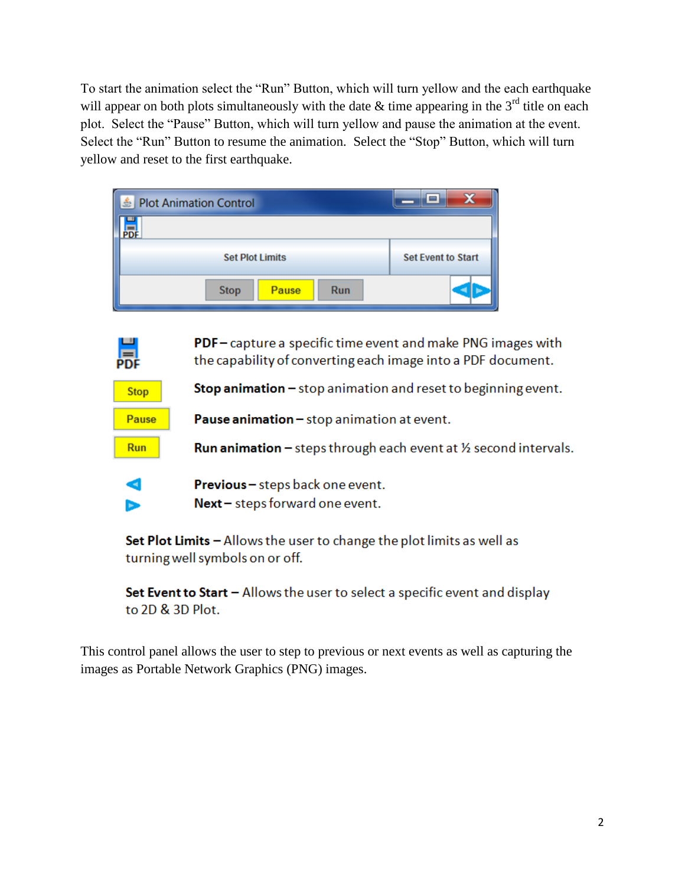To start the animation select the "Run" Button, which will turn yellow and the each earthquake will appear on both plots simultaneously with the date  $\&$  time appearing in the 3<sup>rd</sup> title on each plot. Select the "Pause" Button, which will turn yellow and pause the animation at the event. Select the "Run" Button to resume the animation. Select the "Stop" Button, which will turn yellow and reset to the first earthquake.

| <b>Plot Animation Control</b><br>Iś. |                           |
|--------------------------------------|---------------------------|
|                                      |                           |
| <b>Set Plot Limits</b>               | <b>Set Event to Start</b> |
| <b>Run</b><br><b>Stop</b><br>Pause   |                           |

**PDF** – capture a specific time event and make PNG images with the capability of converting each image into a PDF document.

**Stop animation**  $-$  stop animation and reset to beginning event.

Pause animation - stop animation at event.

**Run animation** - steps through each event at  $\frac{1}{2}$  second intervals.

d Previous - steps back one event. Next - steps forward one event. ь

晨

**Stop** 

**Pause** 

**Run** 

Set Plot Limits  $-$  Allows the user to change the plot limits as well as turning well symbols on or off.

Set Event to Start  $-$  Allows the user to select a specific event and display to 2D & 3D Plot.

This control panel allows the user to step to previous or next events as well as capturing the images as Portable Network Graphics (PNG) images.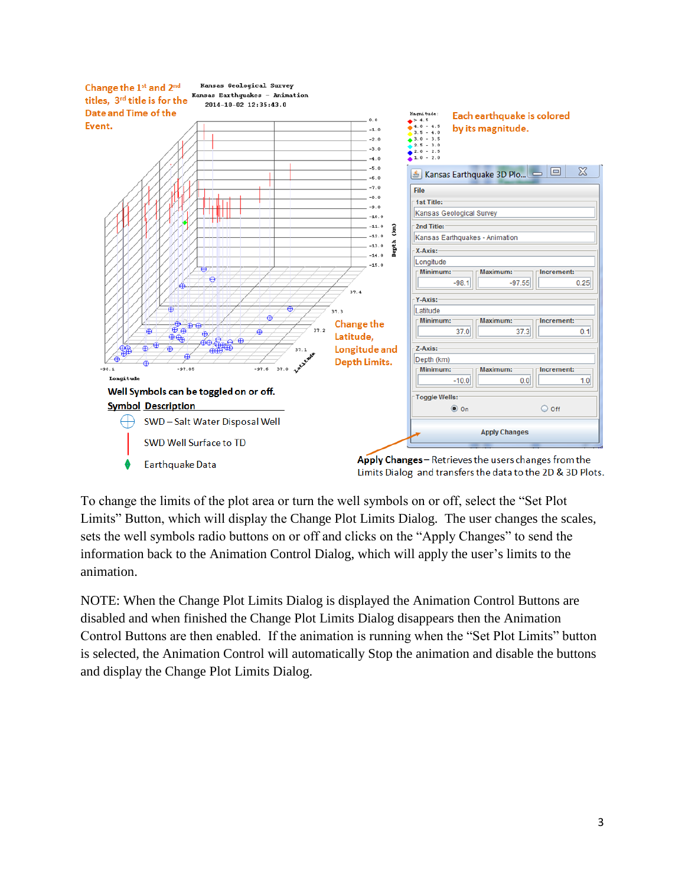

To change the limits of the plot area or turn the well symbols on or off, select the "Set Plot Limits" Button, which will display the Change Plot Limits Dialog. The user changes the scales, sets the well symbols radio buttons on or off and clicks on the "Apply Changes" to send the information back to the Animation Control Dialog, which will apply the user's limits to the animation.

NOTE: When the Change Plot Limits Dialog is displayed the Animation Control Buttons are disabled and when finished the Change Plot Limits Dialog disappears then the Animation Control Buttons are then enabled. If the animation is running when the "Set Plot Limits" button is selected, the Animation Control will automatically Stop the animation and disable the buttons and display the Change Plot Limits Dialog.